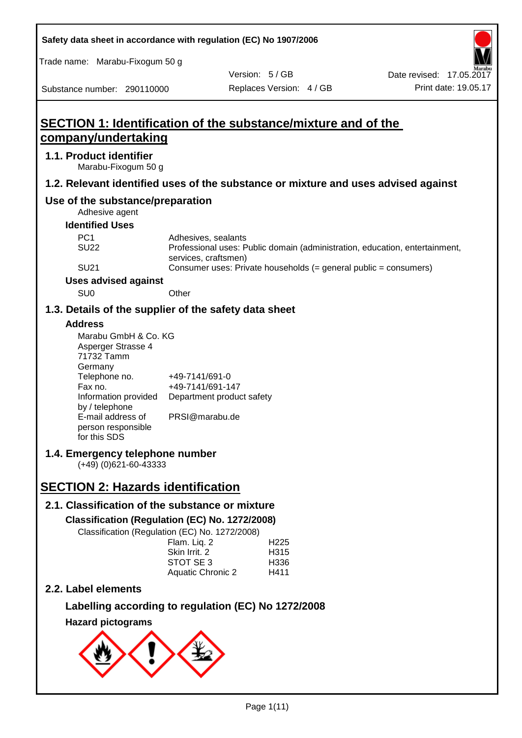| Safety data sheet in accordance with regulation (EC) No 1907/2006                                                                                              |                                                                                   |                          |                                          |                                                                             |
|----------------------------------------------------------------------------------------------------------------------------------------------------------------|-----------------------------------------------------------------------------------|--------------------------|------------------------------------------|-----------------------------------------------------------------------------|
| Trade name: Marabu-Fixogum 50 g                                                                                                                                |                                                                                   |                          |                                          |                                                                             |
|                                                                                                                                                                |                                                                                   | Version: 5/GB            |                                          | Date revised: 17.05.2017                                                    |
| Substance number: 290110000                                                                                                                                    |                                                                                   | Replaces Version: 4 / GB |                                          | Print date: 19.05.17                                                        |
| SECTION 1: Identification of the substance/mixture and of the<br>company/undertaking                                                                           |                                                                                   |                          |                                          |                                                                             |
| 1.1. Product identifier                                                                                                                                        |                                                                                   |                          |                                          |                                                                             |
| Marabu-Fixogum 50 g                                                                                                                                            |                                                                                   |                          |                                          |                                                                             |
| 1.2. Relevant identified uses of the substance or mixture and uses advised against                                                                             |                                                                                   |                          |                                          |                                                                             |
| Use of the substance/preparation<br>Adhesive agent                                                                                                             |                                                                                   |                          |                                          |                                                                             |
| <b>Identified Uses</b>                                                                                                                                         |                                                                                   |                          |                                          |                                                                             |
| PC <sub>1</sub>                                                                                                                                                | Adhesives, sealants                                                               |                          |                                          |                                                                             |
| <b>SU22</b>                                                                                                                                                    | services, craftsmen)                                                              |                          |                                          | Professional uses: Public domain (administration, education, entertainment, |
| <b>SU21</b>                                                                                                                                                    |                                                                                   |                          |                                          | Consumer uses: Private households (= general public = consumers)            |
| <b>Uses advised against</b>                                                                                                                                    |                                                                                   |                          |                                          |                                                                             |
| SU <sub>0</sub>                                                                                                                                                | Other                                                                             |                          |                                          |                                                                             |
| 1.3. Details of the supplier of the safety data sheet                                                                                                          |                                                                                   |                          |                                          |                                                                             |
| <b>Address</b>                                                                                                                                                 |                                                                                   |                          |                                          |                                                                             |
| Marabu GmbH & Co. KG<br>Asperger Strasse 4<br>71732 Tamm<br>Germany<br>Telephone no.<br>Fax no.<br>Information provided<br>by / telephone<br>E-mail address of | +49-7141/691-0<br>+49-7141/691-147<br>Department product safety<br>PRSI@marabu.de |                          |                                          |                                                                             |
| person responsible<br>for this SDS<br>1.4. Emergency telephone number<br>$(+49)$ (0)621-60-43333                                                               |                                                                                   |                          |                                          |                                                                             |
| <b>SECTION 2: Hazards identification</b>                                                                                                                       |                                                                                   |                          |                                          |                                                                             |
|                                                                                                                                                                |                                                                                   |                          |                                          |                                                                             |
| 2.1. Classification of the substance or mixture<br>Classification (Regulation (EC) No. 1272/2008)<br>Classification (Regulation (EC) No. 1272/2008)            | Flam. Liq. 2<br>Skin Irrit. 2<br>STOT SE 3<br><b>Aquatic Chronic 2</b>            |                          | H <sub>225</sub><br>H315<br>H336<br>H411 |                                                                             |
| 2.2. Label elements                                                                                                                                            |                                                                                   |                          |                                          |                                                                             |
| Labelling according to regulation (EC) No 1272/2008                                                                                                            |                                                                                   |                          |                                          |                                                                             |
| <b>Hazard pictograms</b>                                                                                                                                       |                                                                                   |                          |                                          |                                                                             |
|                                                                                                                                                                |                                                                                   |                          |                                          |                                                                             |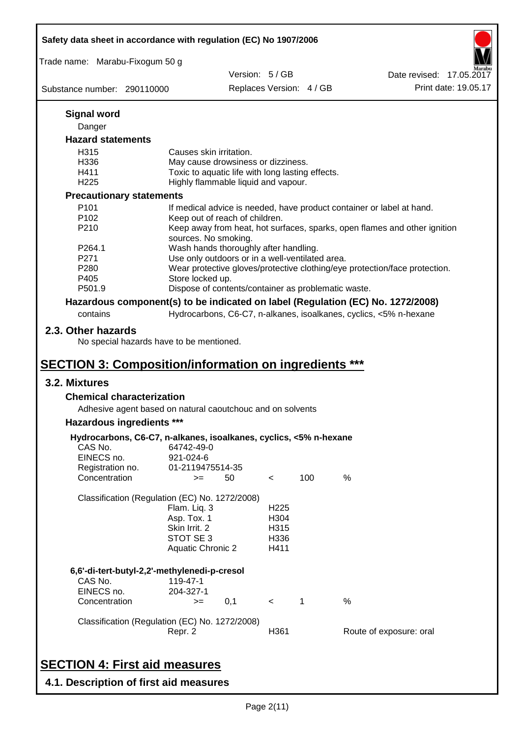|                                                   | Safety data sheet in accordance with regulation (EC) No 1907/2006                                                                       |               |                                                  |                          |                                                                                 |
|---------------------------------------------------|-----------------------------------------------------------------------------------------------------------------------------------------|---------------|--------------------------------------------------|--------------------------|---------------------------------------------------------------------------------|
| Trade name: Marabu-Fixogum 50 g                   |                                                                                                                                         |               |                                                  |                          |                                                                                 |
|                                                   |                                                                                                                                         | Version: 5/GB |                                                  |                          | Date revised: 17,05,2017                                                        |
| Substance number: 290110000                       |                                                                                                                                         |               |                                                  | Replaces Version: 4 / GB | Print date: 19.05.17                                                            |
| <b>Signal word</b>                                |                                                                                                                                         |               |                                                  |                          |                                                                                 |
| Danger                                            |                                                                                                                                         |               |                                                  |                          |                                                                                 |
| <b>Hazard statements</b>                          |                                                                                                                                         |               |                                                  |                          |                                                                                 |
| H315                                              | Causes skin irritation.                                                                                                                 |               |                                                  |                          |                                                                                 |
| H336                                              | May cause drowsiness or dizziness.                                                                                                      |               |                                                  |                          |                                                                                 |
| H411                                              | Toxic to aquatic life with long lasting effects.                                                                                        |               |                                                  |                          |                                                                                 |
| H <sub>225</sub>                                  | Highly flammable liquid and vapour.                                                                                                     |               |                                                  |                          |                                                                                 |
| <b>Precautionary statements</b>                   |                                                                                                                                         |               |                                                  |                          |                                                                                 |
| P101                                              |                                                                                                                                         |               |                                                  |                          | If medical advice is needed, have product container or label at hand.           |
| P102                                              | Keep out of reach of children.                                                                                                          |               |                                                  |                          |                                                                                 |
| P210                                              |                                                                                                                                         |               |                                                  |                          | Keep away from heat, hot surfaces, sparks, open flames and other ignition       |
|                                                   | sources. No smoking.                                                                                                                    |               |                                                  |                          |                                                                                 |
| P264.1                                            | Wash hands thoroughly after handling.                                                                                                   |               |                                                  |                          |                                                                                 |
| P271                                              | Use only outdoors or in a well-ventilated area.                                                                                         |               |                                                  |                          |                                                                                 |
| P280                                              |                                                                                                                                         |               |                                                  |                          | Wear protective gloves/protective clothing/eye protection/face protection.      |
| P405<br>P501.9                                    | Store locked up.<br>Dispose of contents/container as problematic waste.                                                                 |               |                                                  |                          |                                                                                 |
|                                                   |                                                                                                                                         |               |                                                  |                          |                                                                                 |
|                                                   |                                                                                                                                         |               |                                                  |                          | Hazardous component(s) to be indicated on label (Regulation (EC) No. 1272/2008) |
| contains                                          |                                                                                                                                         |               |                                                  |                          | Hydrocarbons, C6-C7, n-alkanes, isoalkanes, cyclics, <5% n-hexane               |
| 3.2. Mixtures<br><b>Chemical characterization</b> | <b>SECTION 3: Composition/information on ingredients ***</b>                                                                            |               |                                                  |                          |                                                                                 |
|                                                   | Adhesive agent based on natural caoutchouc and on solvents                                                                              |               |                                                  |                          |                                                                                 |
| Hazardous ingredients ***                         |                                                                                                                                         |               |                                                  |                          |                                                                                 |
| CAS No.<br>EINECS no.                             | Hydrocarbons, C6-C7, n-alkanes, isoalkanes, cyclics, <5% n-hexane<br>64742-49-0<br>921-024-6                                            |               |                                                  |                          |                                                                                 |
| Registration no.                                  | 01-2119475514-35                                                                                                                        |               |                                                  |                          |                                                                                 |
| Concentration                                     | $>=$                                                                                                                                    | 50            | $\,<\,$                                          | 100                      | %                                                                               |
|                                                   | Classification (Regulation (EC) No. 1272/2008)<br>Flam. Liq. 3<br>Asp. Tox. 1<br>Skin Irrit. 2<br>STOT SE 3<br><b>Aquatic Chronic 2</b> |               | H <sub>225</sub><br>H304<br>H315<br>H336<br>H411 |                          |                                                                                 |
|                                                   | 6,6'-di-tert-butyl-2,2'-methylenedi-p-cresol                                                                                            |               |                                                  |                          |                                                                                 |
| CAS No.                                           | 119-47-1                                                                                                                                |               |                                                  |                          |                                                                                 |
| EINECS no.                                        | 204-327-1                                                                                                                               |               |                                                  |                          |                                                                                 |
| Concentration                                     | $>=$                                                                                                                                    | 0,1           | $\prec$                                          | $\mathbf 1$              | $\%$                                                                            |
|                                                   | Classification (Regulation (EC) No. 1272/2008)<br>Repr. 2                                                                               |               | H361                                             |                          | Route of exposure: oral                                                         |
|                                                   |                                                                                                                                         |               |                                                  |                          |                                                                                 |

# **SECTION 4: First aid measures**

**4.1. Description of first aid measures**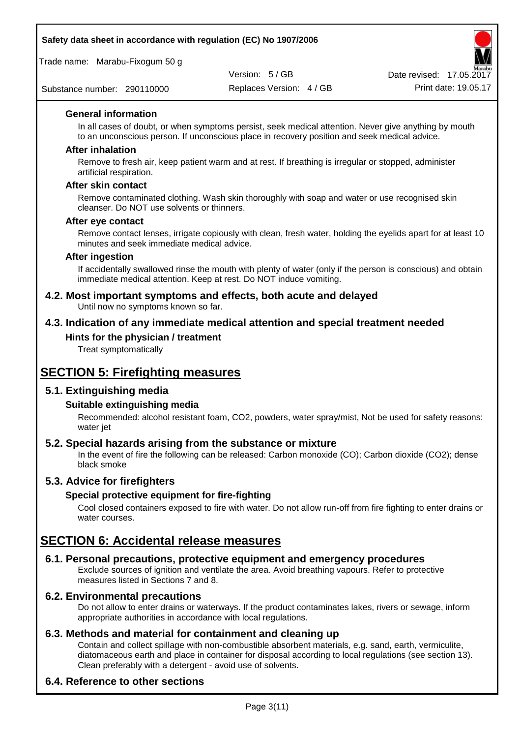## **Safety data sheet in accordance with regulation (EC) No 1907/2006**

Trade name: Marabu-Fixogum 50 g

Substance number: 290110000

Version: 5 / GB



#### **General information**

In all cases of doubt, or when symptoms persist, seek medical attention. Never give anything by mouth to an unconscious person. If unconscious place in recovery position and seek medical advice.

#### **After inhalation**

Remove to fresh air, keep patient warm and at rest. If breathing is irregular or stopped, administer artificial respiration.

#### **After skin contact**

Remove contaminated clothing. Wash skin thoroughly with soap and water or use recognised skin cleanser. Do NOT use solvents or thinners.

#### **After eye contact**

Remove contact lenses, irrigate copiously with clean, fresh water, holding the eyelids apart for at least 10 minutes and seek immediate medical advice.

#### **After ingestion**

If accidentally swallowed rinse the mouth with plenty of water (only if the person is conscious) and obtain immediate medical attention. Keep at rest. Do NOT induce vomiting.

#### **4.2. Most important symptoms and effects, both acute and delayed** Until now no symptoms known so far.

## **4.3. Indication of any immediate medical attention and special treatment needed**

#### **Hints for the physician / treatment**

Treat symptomatically

# **SECTION 5: Firefighting measures**

## **5.1. Extinguishing media**

#### **Suitable extinguishing media**

Recommended: alcohol resistant foam, CO2, powders, water spray/mist, Not be used for safety reasons: water jet

#### **5.2. Special hazards arising from the substance or mixture**

In the event of fire the following can be released: Carbon monoxide (CO); Carbon dioxide (CO2); dense black smoke

## **5.3. Advice for firefighters**

#### **Special protective equipment for fire-fighting**

Cool closed containers exposed to fire with water. Do not allow run-off from fire fighting to enter drains or water courses.

# **SECTION 6: Accidental release measures**

#### **6.1. Personal precautions, protective equipment and emergency procedures**

Exclude sources of ignition and ventilate the area. Avoid breathing vapours. Refer to protective measures listed in Sections 7 and 8.

#### **6.2. Environmental precautions**

Do not allow to enter drains or waterways. If the product contaminates lakes, rivers or sewage, inform appropriate authorities in accordance with local regulations.

## **6.3. Methods and material for containment and cleaning up**

Contain and collect spillage with non-combustible absorbent materials, e.g. sand, earth, vermiculite, diatomaceous earth and place in container for disposal according to local regulations (see section 13). Clean preferably with a detergent - avoid use of solvents.

## **6.4. Reference to other sections**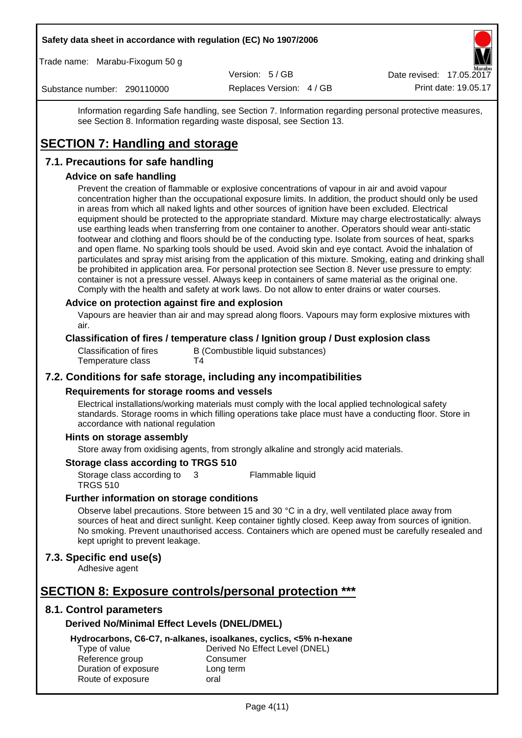#### **Safety data sheet in accordance with regulation (EC) No 1907/2006**

Trade name: Marabu-Fixogum 50 g

Version: 5 / GB

Date revised: 17.05.2017

Substance number: 290110000

Replaces Version: 4 / GB Print date: 19.05.17

Information regarding Safe handling, see Section 7. Information regarding personal protective measures, see Section 8. Information regarding waste disposal, see Section 13.

# **SECTION 7: Handling and storage**

# **7.1. Precautions for safe handling**

## **Advice on safe handling**

Prevent the creation of flammable or explosive concentrations of vapour in air and avoid vapour concentration higher than the occupational exposure limits. In addition, the product should only be used in areas from which all naked lights and other sources of ignition have been excluded. Electrical equipment should be protected to the appropriate standard. Mixture may charge electrostatically: always use earthing leads when transferring from one container to another. Operators should wear anti-static footwear and clothing and floors should be of the conducting type. Isolate from sources of heat, sparks and open flame. No sparking tools should be used. Avoid skin and eye contact. Avoid the inhalation of particulates and spray mist arising from the application of this mixture. Smoking, eating and drinking shall be prohibited in application area. For personal protection see Section 8. Never use pressure to empty: container is not a pressure vessel. Always keep in containers of same material as the original one. Comply with the health and safety at work laws. Do not allow to enter drains or water courses.

#### **Advice on protection against fire and explosion**

Vapours are heavier than air and may spread along floors. Vapours may form explosive mixtures with air.

#### **Classification of fires / temperature class / Ignition group / Dust explosion class**

Classification of fires B (Combustible liquid substances)<br>Temperature class T4 Temperature class

## **7.2. Conditions for safe storage, including any incompatibilities**

#### **Requirements for storage rooms and vessels**

Electrical installations/working materials must comply with the local applied technological safety standards. Storage rooms in which filling operations take place must have a conducting floor. Store in accordance with national regulation

#### **Hints on storage assembly**

Store away from oxidising agents, from strongly alkaline and strongly acid materials.

## **Storage class according to TRGS 510**

Storage class according to TRGS 510 3 Flammable liquid

## **Further information on storage conditions**

Observe label precautions. Store between 15 and 30 °C in a dry, well ventilated place away from sources of heat and direct sunlight. Keep container tightly closed. Keep away from sources of ignition. No smoking. Prevent unauthorised access. Containers which are opened must be carefully resealed and kept upright to prevent leakage.

## **7.3. Specific end use(s)**

Adhesive agent

# **SECTION 8: Exposure controls/personal protection \*\*\***

## **8.1. Control parameters**

## **Derived No/Minimal Effect Levels (DNEL/DMEL)**

**Hydrocarbons, C6-C7, n-alkanes, isoalkanes, cyclics, <5% n-hexane**

Reference group Consumer Duration of exposure Long term Route of exposure oral

Type of value Derived No Effect Level (DNEL)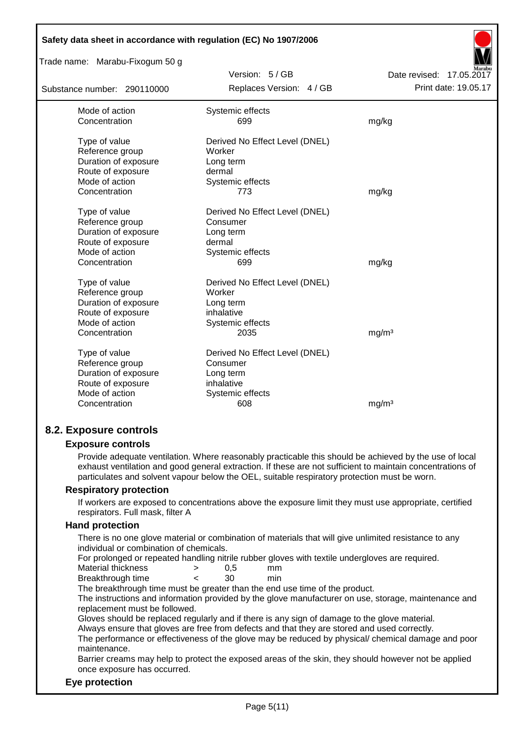| Trade name: Marabu-Fixogum 50 g |                                |                          |
|---------------------------------|--------------------------------|--------------------------|
|                                 | Version: 5/GB                  | Date revised: 17.05.2017 |
| Substance number: 290110000     | Replaces Version: 4 / GB       | Print date: 19.05.17     |
| Mode of action                  | Systemic effects               |                          |
| Concentration                   | 699                            | mg/kg                    |
| Type of value                   | Derived No Effect Level (DNEL) |                          |
| Reference group                 | Worker                         |                          |
| Duration of exposure            | Long term                      |                          |
| Route of exposure               | dermal                         |                          |
| Mode of action                  | Systemic effects               |                          |
| Concentration                   | 773                            | mg/kg                    |
| Type of value                   | Derived No Effect Level (DNEL) |                          |
| Reference group                 | Consumer                       |                          |
| Duration of exposure            | Long term                      |                          |
| Route of exposure               | dermal                         |                          |
| Mode of action                  | Systemic effects               |                          |
| Concentration                   | 699                            | mg/kg                    |
| Type of value                   | Derived No Effect Level (DNEL) |                          |
| Reference group                 | Worker                         |                          |
| Duration of exposure            | Long term                      |                          |
| Route of exposure               | inhalative                     |                          |
| Mode of action                  | Systemic effects               |                          |
| Concentration                   | 2035                           | mg/m <sup>3</sup>        |
| Type of value                   | Derived No Effect Level (DNEL) |                          |
| Reference group                 | Consumer                       |                          |
| Duration of exposure            | Long term                      |                          |
| Route of exposure               | inhalative                     |                          |
| Mode of action                  | Systemic effects               |                          |
| Concentration                   | 608                            | mg/m <sup>3</sup>        |

## **Exposure controls**

Provide adequate ventilation. Where reasonably practicable this should be achieved by the use of local exhaust ventilation and good general extraction. If these are not sufficient to maintain concentrations of particulates and solvent vapour below the OEL, suitable respiratory protection must be worn.

#### **Respiratory protection**

If workers are exposed to concentrations above the exposure limit they must use appropriate, certified respirators. Full mask, filter A

## **Hand protection**

There is no one glove material or combination of materials that will give unlimited resistance to any individual or combination of chemicals.

For prolonged or repeated handling nitrile rubber gloves with textile undergloves are required.

| Material thickness | 0.5 | mm  |
|--------------------|-----|-----|
| Breakthrough time  | 30  | min |

The breakthrough time must be greater than the end use time of the product.

The instructions and information provided by the glove manufacturer on use, storage, maintenance and replacement must be followed.

Gloves should be replaced regularly and if there is any sign of damage to the glove material.

Always ensure that gloves are free from defects and that they are stored and used correctly.

The performance or effectiveness of the glove may be reduced by physical/ chemical damage and poor maintenance.

Barrier creams may help to protect the exposed areas of the skin, they should however not be applied once exposure has occurred.

## **Eye protection**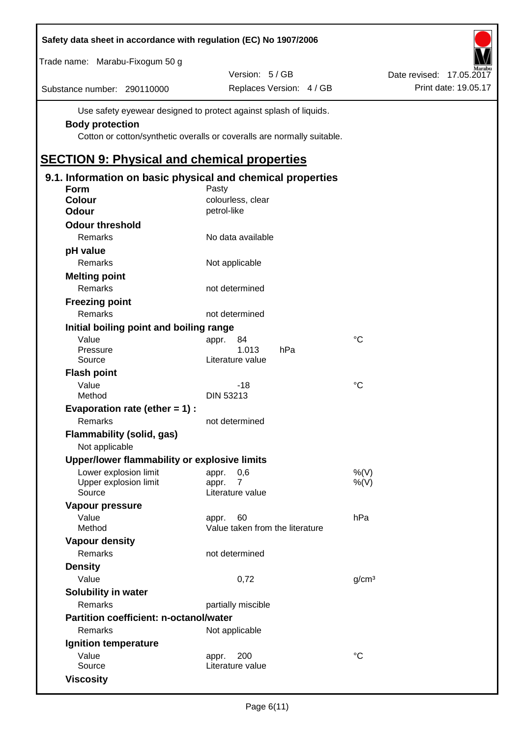| Safety data sheet in accordance with regulation (EC) No 1907/2006 |                                                                         |                                 |                   |                          |
|-------------------------------------------------------------------|-------------------------------------------------------------------------|---------------------------------|-------------------|--------------------------|
| Trade name: Marabu-Fixogum 50 g                                   |                                                                         |                                 |                   |                          |
|                                                                   |                                                                         | Version: 5 / GB                 |                   | Date revised: 17.05.2017 |
| Substance number: 290110000                                       |                                                                         | Replaces Version: 4 / GB        |                   | Print date: 19.05.17     |
|                                                                   | Use safety eyewear designed to protect against splash of liquids.       |                                 |                   |                          |
| <b>Body protection</b>                                            |                                                                         |                                 |                   |                          |
|                                                                   | Cotton or cotton/synthetic overalls or coveralls are normally suitable. |                                 |                   |                          |
| <b>SECTION 9: Physical and chemical properties</b>                |                                                                         |                                 |                   |                          |
| 9.1. Information on basic physical and chemical properties        |                                                                         |                                 |                   |                          |
| <b>Form</b>                                                       | Pasty                                                                   |                                 |                   |                          |
| <b>Colour</b>                                                     | colourless, clear                                                       |                                 |                   |                          |
| <b>Odour</b>                                                      | petrol-like                                                             |                                 |                   |                          |
| <b>Odour threshold</b>                                            |                                                                         |                                 |                   |                          |
| Remarks                                                           |                                                                         | No data available               |                   |                          |
| pH value                                                          |                                                                         |                                 |                   |                          |
| Remarks                                                           | Not applicable                                                          |                                 |                   |                          |
| <b>Melting point</b>                                              |                                                                         |                                 |                   |                          |
| Remarks                                                           | not determined                                                          |                                 |                   |                          |
| <b>Freezing point</b>                                             |                                                                         |                                 |                   |                          |
| Remarks                                                           | not determined                                                          |                                 |                   |                          |
| Initial boiling point and boiling range                           |                                                                         |                                 |                   |                          |
| Value                                                             | appr.                                                                   | 84                              | $^{\circ}C$       |                          |
| Pressure                                                          |                                                                         | 1.013<br>hPa                    |                   |                          |
| Source                                                            | Literature value                                                        |                                 |                   |                          |
| <b>Flash point</b>                                                |                                                                         |                                 |                   |                          |
| Value                                                             |                                                                         | $-18$                           | °C                |                          |
| Method                                                            | <b>DIN 53213</b>                                                        |                                 |                   |                          |
| Evaporation rate (ether $= 1$ ) :                                 |                                                                         |                                 |                   |                          |
| Remarks                                                           | not determined                                                          |                                 |                   |                          |
| <b>Flammability (solid, gas)</b>                                  |                                                                         |                                 |                   |                          |
| Not applicable                                                    |                                                                         |                                 |                   |                          |
| Upper/lower flammability or explosive limits                      |                                                                         |                                 |                   |                          |
| Lower explosion limit<br>Upper explosion limit                    | appr.<br>appr.                                                          | 0,6<br>$\overline{7}$           | %(V)<br>$%$ (V)   |                          |
| Source                                                            | Literature value                                                        |                                 |                   |                          |
| Vapour pressure                                                   |                                                                         |                                 |                   |                          |
| Value                                                             | appr.                                                                   | 60                              | hPa               |                          |
| Method                                                            |                                                                         | Value taken from the literature |                   |                          |
| <b>Vapour density</b>                                             |                                                                         |                                 |                   |                          |
| Remarks                                                           | not determined                                                          |                                 |                   |                          |
| <b>Density</b>                                                    |                                                                         |                                 |                   |                          |
| Value                                                             |                                                                         | 0,72                            | g/cm <sup>3</sup> |                          |
| Solubility in water                                               |                                                                         |                                 |                   |                          |
| Remarks                                                           | partially miscible                                                      |                                 |                   |                          |
| Partition coefficient: n-octanol/water                            |                                                                         |                                 |                   |                          |
| Remarks                                                           | Not applicable                                                          |                                 |                   |                          |
| Ignition temperature                                              |                                                                         |                                 |                   |                          |
| Value                                                             | appr.                                                                   | 200                             | $^{\circ}C$       |                          |
| Source                                                            | Literature value                                                        |                                 |                   |                          |
| <b>Viscosity</b>                                                  |                                                                         |                                 |                   |                          |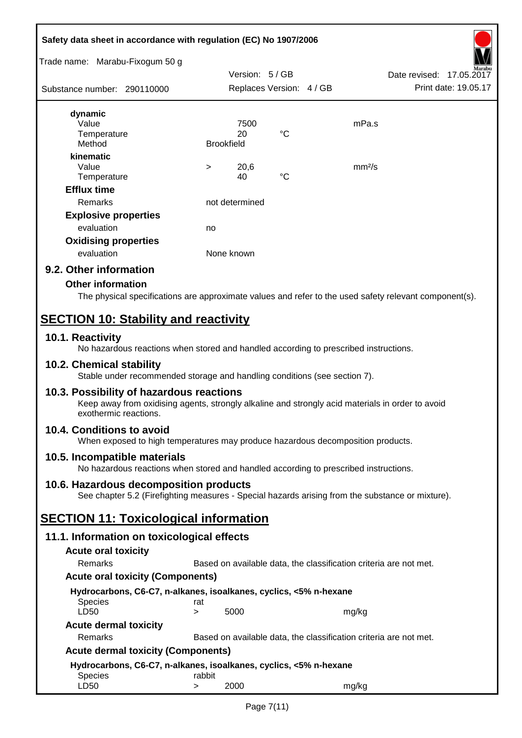# **Safety data sheet in accordance with regulation (EC) No 1907/2006**



# **9.2. Other information**

## **Other information**

The physical specifications are approximate values and refer to the used safety relevant component(s).

# **SECTION 10: Stability and reactivity**

## **10.1. Reactivity**

No hazardous reactions when stored and handled according to prescribed instructions.

## **10.2. Chemical stability**

Stable under recommended storage and handling conditions (see section 7).

## **10.3. Possibility of hazardous reactions**

Keep away from oxidising agents, strongly alkaline and strongly acid materials in order to avoid exothermic reactions.

## **10.4. Conditions to avoid**

When exposed to high temperatures may produce hazardous decomposition products.

## **10.5. Incompatible materials**

No hazardous reactions when stored and handled according to prescribed instructions.

## **10.6. Hazardous decomposition products**

See chapter 5.2 (Firefighting measures - Special hazards arising from the substance or mixture).

# **SECTION 11: Toxicological information**

## **11.1. Information on toxicological effects**

| <b>Acute oral toxicity</b>                |                                                                   |                                                                   |       |  |  |  |
|-------------------------------------------|-------------------------------------------------------------------|-------------------------------------------------------------------|-------|--|--|--|
| Remarks                                   | Based on available data, the classification criteria are not met. |                                                                   |       |  |  |  |
| <b>Acute oral toxicity (Components)</b>   |                                                                   |                                                                   |       |  |  |  |
|                                           |                                                                   | Hydrocarbons, C6-C7, n-alkanes, isoalkanes, cyclics, <5% n-hexane |       |  |  |  |
| <b>Species</b>                            | rat                                                               |                                                                   |       |  |  |  |
| LD50                                      | >                                                                 | 5000                                                              | mg/kg |  |  |  |
| <b>Acute dermal toxicity</b>              |                                                                   |                                                                   |       |  |  |  |
| Remarks                                   |                                                                   | Based on available data, the classification criteria are not met. |       |  |  |  |
| <b>Acute dermal toxicity (Components)</b> |                                                                   |                                                                   |       |  |  |  |
|                                           |                                                                   | Hydrocarbons, C6-C7, n-alkanes, isoalkanes, cyclics, <5% n-hexane |       |  |  |  |
| <b>Species</b>                            | rabbit                                                            |                                                                   |       |  |  |  |
| LD50                                      | >                                                                 | 2000                                                              | mg/ka |  |  |  |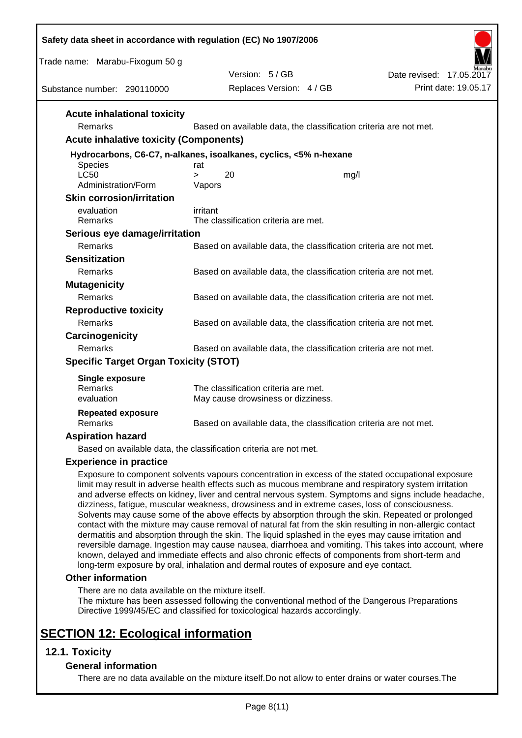| Safety data sheet in accordance with regulation (EC) No 1907/2006                                                                                                                                                                                                                                                                                                                                                                                                                                                                                                                                                                                                                                                                                                                                                                                                    |                                                                   |      |                                                                                                                                                                                                                |
|----------------------------------------------------------------------------------------------------------------------------------------------------------------------------------------------------------------------------------------------------------------------------------------------------------------------------------------------------------------------------------------------------------------------------------------------------------------------------------------------------------------------------------------------------------------------------------------------------------------------------------------------------------------------------------------------------------------------------------------------------------------------------------------------------------------------------------------------------------------------|-------------------------------------------------------------------|------|----------------------------------------------------------------------------------------------------------------------------------------------------------------------------------------------------------------|
| Trade name: Marabu-Fixogum 50 g                                                                                                                                                                                                                                                                                                                                                                                                                                                                                                                                                                                                                                                                                                                                                                                                                                      |                                                                   |      |                                                                                                                                                                                                                |
|                                                                                                                                                                                                                                                                                                                                                                                                                                                                                                                                                                                                                                                                                                                                                                                                                                                                      | Version: 5/GB                                                     |      | Date revised: 17,05,2017                                                                                                                                                                                       |
| Substance number: 290110000                                                                                                                                                                                                                                                                                                                                                                                                                                                                                                                                                                                                                                                                                                                                                                                                                                          | Replaces Version: 4 / GB                                          |      | Print date: 19.05.17                                                                                                                                                                                           |
| <b>Acute inhalational toxicity</b>                                                                                                                                                                                                                                                                                                                                                                                                                                                                                                                                                                                                                                                                                                                                                                                                                                   |                                                                   |      |                                                                                                                                                                                                                |
| Remarks                                                                                                                                                                                                                                                                                                                                                                                                                                                                                                                                                                                                                                                                                                                                                                                                                                                              | Based on available data, the classification criteria are not met. |      |                                                                                                                                                                                                                |
| <b>Acute inhalative toxicity (Components)</b>                                                                                                                                                                                                                                                                                                                                                                                                                                                                                                                                                                                                                                                                                                                                                                                                                        |                                                                   |      |                                                                                                                                                                                                                |
| Hydrocarbons, C6-C7, n-alkanes, isoalkanes, cyclics, <5% n-hexane<br><b>Species</b>                                                                                                                                                                                                                                                                                                                                                                                                                                                                                                                                                                                                                                                                                                                                                                                  | rat                                                               |      |                                                                                                                                                                                                                |
| <b>LC50</b>                                                                                                                                                                                                                                                                                                                                                                                                                                                                                                                                                                                                                                                                                                                                                                                                                                                          | 20<br>$\geq$                                                      | mg/l |                                                                                                                                                                                                                |
| Administration/Form                                                                                                                                                                                                                                                                                                                                                                                                                                                                                                                                                                                                                                                                                                                                                                                                                                                  | Vapors                                                            |      |                                                                                                                                                                                                                |
| <b>Skin corrosion/irritation</b>                                                                                                                                                                                                                                                                                                                                                                                                                                                                                                                                                                                                                                                                                                                                                                                                                                     |                                                                   |      |                                                                                                                                                                                                                |
| evaluation<br>Remarks                                                                                                                                                                                                                                                                                                                                                                                                                                                                                                                                                                                                                                                                                                                                                                                                                                                | irritant<br>The classification criteria are met.                  |      |                                                                                                                                                                                                                |
| Serious eye damage/irritation                                                                                                                                                                                                                                                                                                                                                                                                                                                                                                                                                                                                                                                                                                                                                                                                                                        |                                                                   |      |                                                                                                                                                                                                                |
| Remarks                                                                                                                                                                                                                                                                                                                                                                                                                                                                                                                                                                                                                                                                                                                                                                                                                                                              | Based on available data, the classification criteria are not met. |      |                                                                                                                                                                                                                |
| <b>Sensitization</b>                                                                                                                                                                                                                                                                                                                                                                                                                                                                                                                                                                                                                                                                                                                                                                                                                                                 |                                                                   |      |                                                                                                                                                                                                                |
| Remarks                                                                                                                                                                                                                                                                                                                                                                                                                                                                                                                                                                                                                                                                                                                                                                                                                                                              | Based on available data, the classification criteria are not met. |      |                                                                                                                                                                                                                |
| <b>Mutagenicity</b>                                                                                                                                                                                                                                                                                                                                                                                                                                                                                                                                                                                                                                                                                                                                                                                                                                                  |                                                                   |      |                                                                                                                                                                                                                |
| Remarks                                                                                                                                                                                                                                                                                                                                                                                                                                                                                                                                                                                                                                                                                                                                                                                                                                                              | Based on available data, the classification criteria are not met. |      |                                                                                                                                                                                                                |
| <b>Reproductive toxicity</b>                                                                                                                                                                                                                                                                                                                                                                                                                                                                                                                                                                                                                                                                                                                                                                                                                                         |                                                                   |      |                                                                                                                                                                                                                |
| Remarks                                                                                                                                                                                                                                                                                                                                                                                                                                                                                                                                                                                                                                                                                                                                                                                                                                                              | Based on available data, the classification criteria are not met. |      |                                                                                                                                                                                                                |
| Carcinogenicity                                                                                                                                                                                                                                                                                                                                                                                                                                                                                                                                                                                                                                                                                                                                                                                                                                                      |                                                                   |      |                                                                                                                                                                                                                |
| Remarks                                                                                                                                                                                                                                                                                                                                                                                                                                                                                                                                                                                                                                                                                                                                                                                                                                                              | Based on available data, the classification criteria are not met. |      |                                                                                                                                                                                                                |
| <b>Specific Target Organ Toxicity (STOT)</b>                                                                                                                                                                                                                                                                                                                                                                                                                                                                                                                                                                                                                                                                                                                                                                                                                         |                                                                   |      |                                                                                                                                                                                                                |
| <b>Single exposure</b>                                                                                                                                                                                                                                                                                                                                                                                                                                                                                                                                                                                                                                                                                                                                                                                                                                               |                                                                   |      |                                                                                                                                                                                                                |
| Remarks                                                                                                                                                                                                                                                                                                                                                                                                                                                                                                                                                                                                                                                                                                                                                                                                                                                              | The classification criteria are met.                              |      |                                                                                                                                                                                                                |
| evaluation                                                                                                                                                                                                                                                                                                                                                                                                                                                                                                                                                                                                                                                                                                                                                                                                                                                           | May cause drowsiness or dizziness.                                |      |                                                                                                                                                                                                                |
| <b>Repeated exposure</b><br>Remarks                                                                                                                                                                                                                                                                                                                                                                                                                                                                                                                                                                                                                                                                                                                                                                                                                                  |                                                                   |      |                                                                                                                                                                                                                |
|                                                                                                                                                                                                                                                                                                                                                                                                                                                                                                                                                                                                                                                                                                                                                                                                                                                                      | Based on available data, the classification criteria are not met. |      |                                                                                                                                                                                                                |
| <b>Aspiration hazard</b>                                                                                                                                                                                                                                                                                                                                                                                                                                                                                                                                                                                                                                                                                                                                                                                                                                             |                                                                   |      |                                                                                                                                                                                                                |
| Based on available data, the classification criteria are not met.                                                                                                                                                                                                                                                                                                                                                                                                                                                                                                                                                                                                                                                                                                                                                                                                    |                                                                   |      |                                                                                                                                                                                                                |
| <b>Experience in practice</b><br>Exposure to component solvents vapours concentration in excess of the stated occupational exposure<br>limit may result in adverse health effects such as mucous membrane and respiratory system irritation<br>dizziness, fatigue, muscular weakness, drowsiness and in extreme cases, loss of consciousness.<br>Solvents may cause some of the above effects by absorption through the skin. Repeated or prolonged<br>contact with the mixture may cause removal of natural fat from the skin resulting in non-allergic contact<br>dermatitis and absorption through the skin. The liquid splashed in the eyes may cause irritation and<br>known, delayed and immediate effects and also chronic effects of components from short-term and<br>long-term exposure by oral, inhalation and dermal routes of exposure and eye contact. |                                                                   |      | and adverse effects on kidney, liver and central nervous system. Symptoms and signs include headache,<br>reversible damage. Ingestion may cause nausea, diarrhoea and vomiting. This takes into account, where |
| <b>Other information</b>                                                                                                                                                                                                                                                                                                                                                                                                                                                                                                                                                                                                                                                                                                                                                                                                                                             |                                                                   |      |                                                                                                                                                                                                                |
| There are no data available on the mixture itself.<br>The mixture has been assessed following the conventional method of the Dangerous Preparations<br>Directive 1999/45/EC and classified for toxicological hazards accordingly.                                                                                                                                                                                                                                                                                                                                                                                                                                                                                                                                                                                                                                    |                                                                   |      |                                                                                                                                                                                                                |
| <b>SECTION 12: Ecological information</b><br>$12.4$ Tovicity                                                                                                                                                                                                                                                                                                                                                                                                                                                                                                                                                                                                                                                                                                                                                                                                         |                                                                   |      |                                                                                                                                                                                                                |

# **12.1. Toxicity**

# **General information**

There are no data available on the mixture itself.Do not allow to enter drains or water courses.The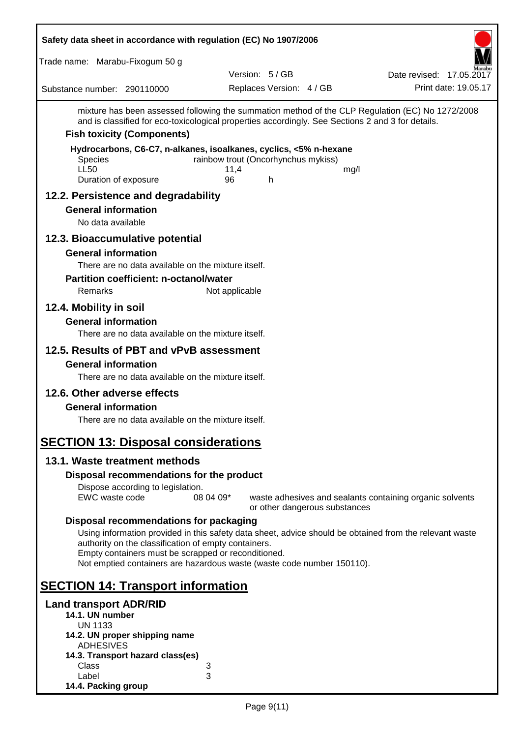| Safety data sheet in accordance with regulation (EC) No 1907/2006                                                                                                                                                                                                                                                                          |                |                                             |                               |                                                          |
|--------------------------------------------------------------------------------------------------------------------------------------------------------------------------------------------------------------------------------------------------------------------------------------------------------------------------------------------|----------------|---------------------------------------------|-------------------------------|----------------------------------------------------------|
| Trade name: Marabu-Fixogum 50 g                                                                                                                                                                                                                                                                                                            |                |                                             |                               |                                                          |
| Substance number: 290110000                                                                                                                                                                                                                                                                                                                |                | Version: 5 / GB<br>Replaces Version: 4 / GB |                               | Date revised: 17.05.2017<br>Print date: 19.05.17         |
| mixture has been assessed following the summation method of the CLP Regulation (EC) No 1272/2008<br>and is classified for eco-toxicological properties accordingly. See Sections 2 and 3 for details.                                                                                                                                      |                |                                             |                               |                                                          |
| <b>Fish toxicity (Components)</b>                                                                                                                                                                                                                                                                                                          |                |                                             |                               |                                                          |
| Hydrocarbons, C6-C7, n-alkanes, isoalkanes, cyclics, <5% n-hexane<br><b>Species</b><br><b>LL50</b><br>Duration of exposure                                                                                                                                                                                                                 | 11,4<br>96     | rainbow trout (Oncorhynchus mykiss)<br>h    | mg/l                          |                                                          |
| 12.2. Persistence and degradability                                                                                                                                                                                                                                                                                                        |                |                                             |                               |                                                          |
| <b>General information</b><br>No data available                                                                                                                                                                                                                                                                                            |                |                                             |                               |                                                          |
| 12.3. Bioaccumulative potential                                                                                                                                                                                                                                                                                                            |                |                                             |                               |                                                          |
| <b>General information</b><br>There are no data available on the mixture itself.<br><b>Partition coefficient: n-octanol/water</b>                                                                                                                                                                                                          |                |                                             |                               |                                                          |
| Remarks                                                                                                                                                                                                                                                                                                                                    | Not applicable |                                             |                               |                                                          |
| 12.4. Mobility in soil                                                                                                                                                                                                                                                                                                                     |                |                                             |                               |                                                          |
| <b>General information</b><br>There are no data available on the mixture itself.                                                                                                                                                                                                                                                           |                |                                             |                               |                                                          |
| 12.5. Results of PBT and vPvB assessment                                                                                                                                                                                                                                                                                                   |                |                                             |                               |                                                          |
| <b>General information</b>                                                                                                                                                                                                                                                                                                                 |                |                                             |                               |                                                          |
| There are no data available on the mixture itself.                                                                                                                                                                                                                                                                                         |                |                                             |                               |                                                          |
| 12.6. Other adverse effects                                                                                                                                                                                                                                                                                                                |                |                                             |                               |                                                          |
| <b>General information</b><br>There are no data available on the mixture itself.                                                                                                                                                                                                                                                           |                |                                             |                               |                                                          |
| <b>SECTION 13: Disposal considerations</b>                                                                                                                                                                                                                                                                                                 |                |                                             |                               |                                                          |
| 13.1. Waste treatment methods                                                                                                                                                                                                                                                                                                              |                |                                             |                               |                                                          |
| Disposal recommendations for the product                                                                                                                                                                                                                                                                                                   |                |                                             |                               |                                                          |
| Dispose according to legislation.<br>EWC waste code                                                                                                                                                                                                                                                                                        | 08 04 09*      |                                             | or other dangerous substances | waste adhesives and sealants containing organic solvents |
| Disposal recommendations for packaging<br>Using information provided in this safety data sheet, advice should be obtained from the relevant waste<br>authority on the classification of empty containers.<br>Empty containers must be scrapped or reconditioned.<br>Not emptied containers are hazardous waste (waste code number 150110). |                |                                             |                               |                                                          |
| <b>SECTION 14: Transport information</b>                                                                                                                                                                                                                                                                                                   |                |                                             |                               |                                                          |
| <b>Land transport ADR/RID</b><br>14.1. UN number<br><b>UN 1133</b><br>14.2. UN proper shipping name<br><b>ADHESIVES</b><br>14.3. Transport hazard class(es)<br>Class                                                                                                                                                                       | 3              |                                             |                               |                                                          |
| Label<br>14.4. Packing group                                                                                                                                                                                                                                                                                                               | 3              |                                             |                               |                                                          |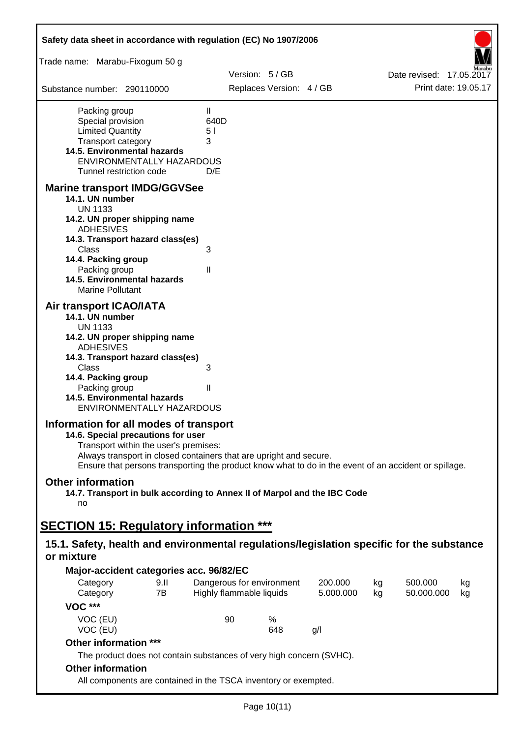| Safety data sheet in accordance with regulation (EC) No 1907/2006                                                                                                                                                                                                                                    |                                        |                          |                           |                      |          |                          |                      |
|------------------------------------------------------------------------------------------------------------------------------------------------------------------------------------------------------------------------------------------------------------------------------------------------------|----------------------------------------|--------------------------|---------------------------|----------------------|----------|--------------------------|----------------------|
| Trade name: Marabu-Fixogum 50 g                                                                                                                                                                                                                                                                      |                                        |                          |                           |                      |          |                          |                      |
|                                                                                                                                                                                                                                                                                                      |                                        | Version: 5/GB            |                           |                      |          | Date revised: 17,05,2017 |                      |
| Substance number: 290110000                                                                                                                                                                                                                                                                          |                                        |                          | Replaces Version: 4 / GB  |                      |          |                          | Print date: 19.05.17 |
| Packing group<br>Special provision<br><b>Limited Quantity</b><br>Transport category<br>14.5. Environmental hazards<br>ENVIRONMENTALLY HAZARDOUS<br>Tunnel restriction code                                                                                                                           | $\mathbf{H}$<br>640D<br>51<br>3<br>D/E |                          |                           |                      |          |                          |                      |
| <b>Marine transport IMDG/GGVSee</b><br>14.1. UN number<br><b>UN 1133</b>                                                                                                                                                                                                                             |                                        |                          |                           |                      |          |                          |                      |
| 14.2. UN proper shipping name<br><b>ADHESIVES</b><br>14.3. Transport hazard class(es)<br>Class<br>14.4. Packing group<br>Packing group<br><b>14.5. Environmental hazards</b><br><b>Marine Pollutant</b>                                                                                              | 3<br>$\mathsf{I}$                      |                          |                           |                      |          |                          |                      |
| Air transport ICAO/IATA<br>14.1. UN number<br><b>UN 1133</b><br>14.2. UN proper shipping name<br><b>ADHESIVES</b><br>14.3. Transport hazard class(es)                                                                                                                                                |                                        |                          |                           |                      |          |                          |                      |
| <b>Class</b><br>14.4. Packing group<br>Packing group<br>14.5. Environmental hazards<br>ENVIRONMENTALLY HAZARDOUS                                                                                                                                                                                     | 3<br>$\mathsf{I}$                      |                          |                           |                      |          |                          |                      |
| Information for all modes of transport<br>14.6. Special precautions for user<br>Transport within the user's premises:<br>Always transport in closed containers that are upright and secure.<br>Ensure that persons transporting the product know what to do in the event of an accident or spillage. |                                        |                          |                           |                      |          |                          |                      |
| <b>Other information</b><br>14.7. Transport in bulk according to Annex II of Marpol and the IBC Code<br>no                                                                                                                                                                                           |                                        |                          |                           |                      |          |                          |                      |
| <b>SECTION 15: Regulatory information ***</b>                                                                                                                                                                                                                                                        |                                        |                          |                           |                      |          |                          |                      |
| 15.1. Safety, health and environmental regulations/legislation specific for the substance<br>or mixture                                                                                                                                                                                              |                                        |                          |                           |                      |          |                          |                      |
| Major-accident categories acc. 96/82/EC                                                                                                                                                                                                                                                              |                                        |                          |                           |                      |          |                          |                      |
| 9.11<br>Category<br>7B<br>Category                                                                                                                                                                                                                                                                   |                                        | Highly flammable liquids | Dangerous for environment | 200.000<br>5.000.000 | kg<br>kg | 500.000<br>50.000.000    | kg                   |
| <b>VOC ***</b>                                                                                                                                                                                                                                                                                       |                                        |                          |                           |                      |          |                          | kg                   |
| VOC (EU)<br>VOC (EU)                                                                                                                                                                                                                                                                                 |                                        | 90                       | %<br>648                  | g/                   |          |                          |                      |
| Other information ***                                                                                                                                                                                                                                                                                |                                        |                          |                           |                      |          |                          |                      |
| The product does not contain substances of very high concern (SVHC).<br><b>Other information</b>                                                                                                                                                                                                     |                                        |                          |                           |                      |          |                          |                      |
| All components are contained in the TSCA inventory or exempted.                                                                                                                                                                                                                                      |                                        |                          |                           |                      |          |                          |                      |